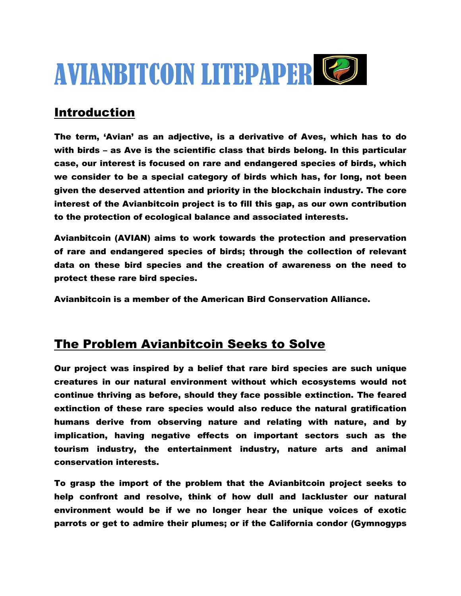

# Introduction

The term, 'Avian' as an adjective, is a derivative of Aves, which has to do with birds – as Ave is the scientific class that birds belong. In this particular case, our interest is focused on rare and endangered species of birds, which we consider to be a special category of birds which has, for long, not been given the deserved attention and priority in the blockchain industry. The core interest of the Avianbitcoin project is to fill this gap, as our own contribution to the protection of ecological balance and associated interests.

Avianbitcoin (AVIAN) aims to work towards the protection and preservation of rare and endangered species of birds; through the collection of relevant data on these bird species and the creation of awareness on the need to protect these rare bird species.

Avianbitcoin is a member of the American Bird Conservation Alliance.

## **The Problem Avianbitcoin Seeks to Solve**

Our project was inspired by a belief that rare bird species are such unique creatures in our natural environment without which ecosystems would not continue thriving as before, should they face possible extinction. The feared extinction of these rare species would also reduce the natural gratification humans derive from observing nature and relating with nature, and by implication, having negative effects on important sectors such as the tourism industry, the entertainment industry, nature arts and animal conservation interests.

To grasp the import of the problem that the Avianbitcoin project seeks to help confront and resolve, think of how dull and lackluster our natural environment would be if we no longer hear the unique voices of exotic parrots or get to admire their plumes; or if the California condor (Gymnogyps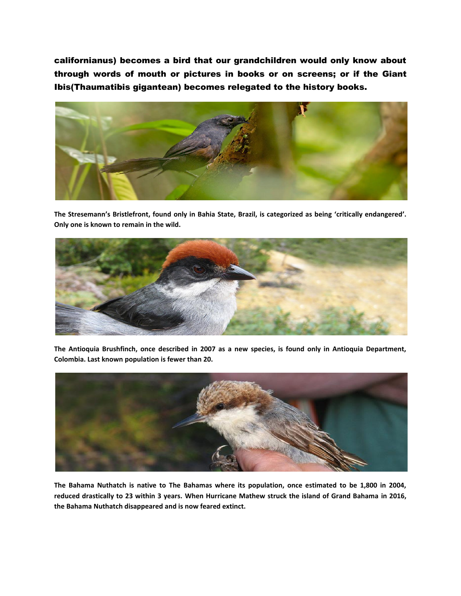californianus) becomes a bird that our grandchildren would only know about through words of mouth or pictures in books or on screens; or if the Giant Ibis(Thaumatibis gigantean) becomes relegated to the history books.



**The Stresemann's Bristlefront, found only in Bahia State, Brazil, is categorized as being 'critically endangered'. Only one is known to remain in the wild.**



**The Antioquia Brushfinch, once described in 2007 as a new species, is found only in Antioquia Department, Colombia. Last known population is fewer than 20.**



**The Bahama Nuthatch is native to The Bahamas where its population, once estimated to be 1,800 in 2004, reduced drastically to 23 within 3 years. When Hurricane Mathew struck the island of Grand Bahama in 2016, the Bahama Nuthatch disappeared and is now feared extinct.**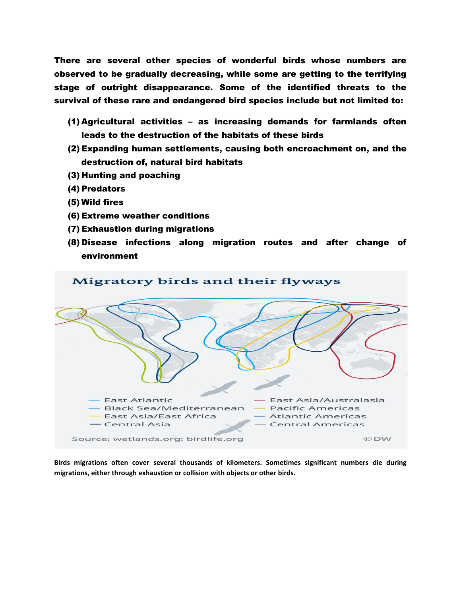There are several other species of wonderful birds whose numbers are observed to be gradually decreasing, while some are getting to the terrifying stage of outright disappearance. Some of the identified threats to the survival of these rare and endangered bird species include but not limited to:

- (1) Agricultural activities as increasing demands for farmlands often leads to the destruction of the habitats of these birds
- (2) Expanding human settlements, causing both encroachment on, and the destruction of, natural bird habitats
- (3) Hunting and poaching
- (4) Predators
- (5) Wild fires
- (6) Extreme weather conditions
- (7) Exhaustion during migrations
- (8) Disease infections along migration routes and after change of environment



**Birds migrations often cover several thousands of kilometers. Sometimes significant numbers die during migrations, either through exhaustion or collision with objects or other birds.**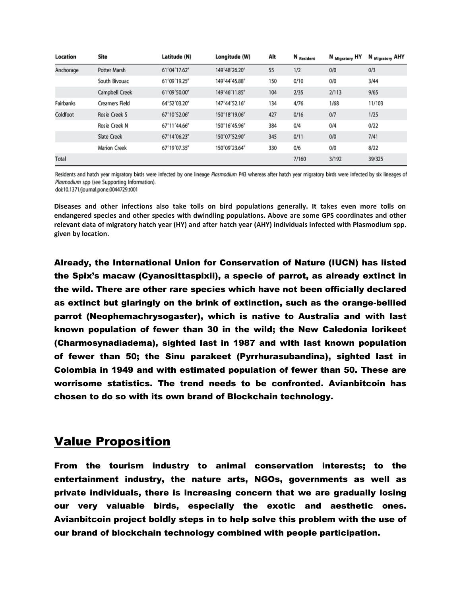| Location  | Site                  | Latitude (N) | Longitude (W) | Alt | N Resident | N <sub>Migratory</sub> HY | N Migratory AHY |
|-----------|-----------------------|--------------|---------------|-----|------------|---------------------------|-----------------|
| Anchorage | Potter Marsh          | 61°04'17.62" | 149°48'26.20" | 55  | 1/2        | 0/0                       | 0/3             |
|           | South Bivouac         | 61°09'19.25" | 149°44'45.88" | 150 | 0/10       | 0/0                       | 3/44            |
|           | Campbell Creek        | 61°09'50.00" | 149°46'11.85" | 104 | 2/35       | 2/113                     | 9/65            |
| Fairbanks | <b>Creamers Field</b> | 64°52'03.20" | 147°44'52.16" | 134 | 4/76       | 1/68                      | 11/103          |
| Coldfoot  | Rosie Creek S         | 67°10'52.06" | 150°18'19.06" | 427 | 0/16       | 0/7                       | 1/25            |
|           | Rosie Creek N         | 67°11'44.66" | 150°16'45.96" | 384 | 0/4        | 0/4                       | 0/22            |
|           | <b>Slate Creek</b>    | 67°14'06.23" | 150°07'52.90" | 345 | 0/11       | 0/0                       | 7/41            |
|           | <b>Marion Creek</b>   | 67°19'07.35" | 150°09'23.64" | 330 | 0/6        | 0/0                       | 8/22            |
| Total     |                       |              |               |     | 7/160      | 3/192                     | 39/325          |

Residents and hatch year migratory birds were infected by one lineage Plasmodium P43 whereas after hatch year migratory birds were infected by six lineages of Plasmodium spp (see Supporting Information).

doi:10.1371/journal.pone.0044729.t001

**Diseases and other infections also take tolls on bird populations generally. It takes even more tolls on endangered species and other species with dwindling populations. Above are some GPS coordinates and other relevant data of migratory hatch year (HY) and after hatch year (AHY) individuals infected with Plasmodium spp. given by location.**

Already, the International Union for Conservation of Nature (IUCN) has listed the Spix's macaw (Cyanosittaspixii), a specie of parrot, as already extinct in the wild. There are other rare species which have not been officially declared as extinct but glaringly on the brink of extinction, such as the orange-bellied parrot (Neophemachrysogaster), which is native to Australia and with last known population of fewer than 30 in the wild; the New Caledonia lorikeet (Charmosynadiadema), sighted last in 1987 and with last known population of fewer than 50; the Sinu parakeet (Pyrrhurasubandina), sighted last in Colombia in 1949 and with estimated population of fewer than 50. These are worrisome statistics. The trend needs to be confronted. Avianbitcoin has chosen to do so with its own brand of Blockchain technology.

## Value Proposition

From the tourism industry to animal conservation interests; to the entertainment industry, the nature arts, NGOs, governments as well as private individuals, there is increasing concern that we are gradually losing our very valuable birds, especially the exotic and aesthetic ones. Avianbitcoin project boldly steps in to help solve this problem with the use of our brand of blockchain technology combined with people participation.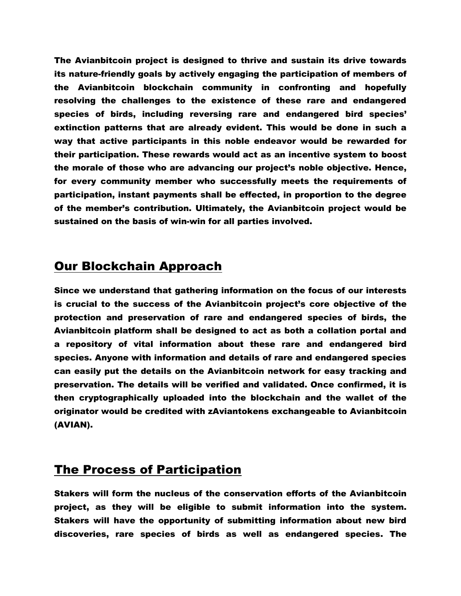The Avianbitcoin project is designed to thrive and sustain its drive towards its nature-friendly goals by actively engaging the participation of members of the Avianbitcoin blockchain community in confronting and hopefully resolving the challenges to the existence of these rare and endangered species of birds, including reversing rare and endangered bird species' extinction patterns that are already evident. This would be done in such a way that active participants in this noble endeavor would be rewarded for their participation. These rewards would act as an incentive system to boost the morale of those who are advancing our project's noble objective. Hence, for every community member who successfully meets the requirements of participation, instant payments shall be effected, in proportion to the degree of the member's contribution. Ultimately, the Avianbitcoin project would be sustained on the basis of win-win for all parties involved.

#### Our Blockchain Approach

Since we understand that gathering information on the focus of our interests is crucial to the success of the Avianbitcoin project's core objective of the protection and preservation of rare and endangered species of birds, the Avianbitcoin platform shall be designed to act as both a collation portal and a repository of vital information about these rare and endangered bird species. Anyone with information and details of rare and endangered species can easily put the details on the Avianbitcoin network for easy tracking and preservation. The details will be verified and validated. Once confirmed, it is then cryptographically uploaded into the blockchain and the wallet of the originator would be credited with zAviantokens exchangeable to Avianbitcoin (AVIAN).

#### The Process of Participation

Stakers will form the nucleus of the conservation efforts of the Avianbitcoin project, as they will be eligible to submit information into the system. Stakers will have the opportunity of submitting information about new bird discoveries, rare species of birds as well as endangered species. The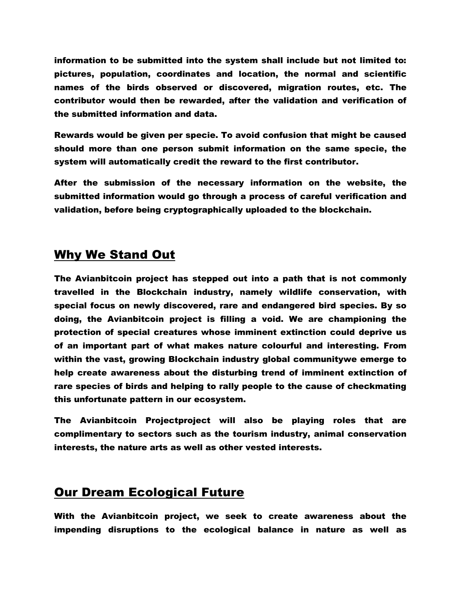information to be submitted into the system shall include but not limited to: pictures, population, coordinates and location, the normal and scientific names of the birds observed or discovered, migration routes, etc. The contributor would then be rewarded, after the validation and verification of the submitted information and data.

Rewards would be given per specie. To avoid confusion that might be caused should more than one person submit information on the same specie, the system will automatically credit the reward to the first contributor.

After the submission of the necessary information on the website, the submitted information would go through a process of careful verification and validation, before being cryptographically uploaded to the blockchain.

### Why We Stand Out

The Avianbitcoin project has stepped out into a path that is not commonly travelled in the Blockchain industry, namely wildlife conservation, with special focus on newly discovered, rare and endangered bird species. By so doing, the Avianbitcoin project is filling a void. We are championing the protection of special creatures whose imminent extinction could deprive us of an important part of what makes nature colourful and interesting. From within the vast, growing Blockchain industry global communitywe emerge to help create awareness about the disturbing trend of imminent extinction of rare species of birds and helping to rally people to the cause of checkmating this unfortunate pattern in our ecosystem.

The Avianbitcoin Projectproject will also be playing roles that are complimentary to sectors such as the tourism industry, animal conservation interests, the nature arts as well as other vested interests.

## Our Dream Ecological Future

With the Avianbitcoin project, we seek to create awareness about the impending disruptions to the ecological balance in nature as well as